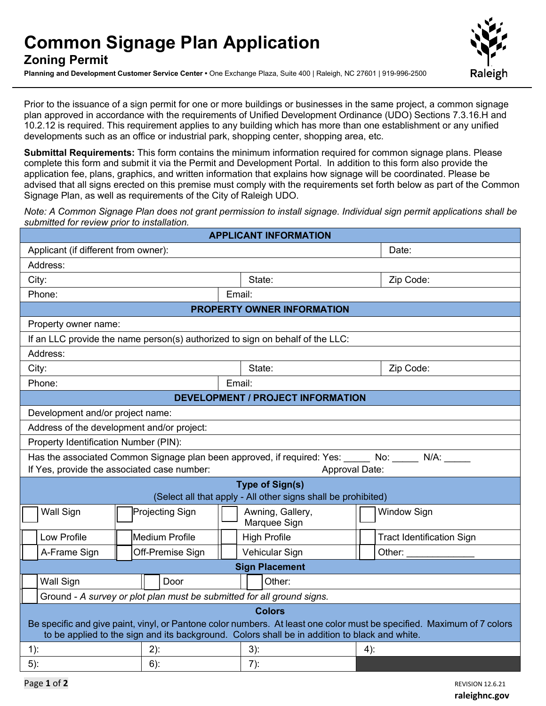## **Common Signage Plan Application Zoning Permit**

**Planning and Development Customer Service Center •** One Exchange Plaza, Suite 400 | Raleigh, NC 27601 | 919-996-2500



Prior to the issuance of a sign permit for one or more buildings or businesses in the same project, a common signage plan approved in accordance with the requirements of Unified Development Ordinance (UDO) Sections 7.3.16.H and 10.2.12 is required. This requirement applies to any building which has more than one establishment or any unified developments such as an office or industrial park, shopping center, shopping area, etc.

**Submittal Requirements:** This form contains the minimum information required for common signage plans. Please complete this form and submit it via the Permit and Development Portal. In addition to this form also provide the application fee, plans, graphics, and written information that explains how signage will be coordinated. Please be advised that all signs erected on this premise must comply with the requirements set forth below as part of the Common Signage Plan, as well as requirements of the City of Raleigh UDO.

*Note: A Common Signage Plan does not grant permission to install signage. Individual sign permit applications shall be submitted for review prior to installation.* 

| <b>APPLICANT INFORMATION</b>                                                                                                                                                                                                             |                  |                     |                                  |  |  |  |
|------------------------------------------------------------------------------------------------------------------------------------------------------------------------------------------------------------------------------------------|------------------|---------------------|----------------------------------|--|--|--|
| Applicant (if different from owner):                                                                                                                                                                                                     |                  |                     | Date:                            |  |  |  |
| Address:                                                                                                                                                                                                                                 |                  |                     |                                  |  |  |  |
| City:                                                                                                                                                                                                                                    |                  | State:              | Zip Code:                        |  |  |  |
| Phone:                                                                                                                                                                                                                                   |                  | Email:              |                                  |  |  |  |
| <b>PROPERTY OWNER INFORMATION</b>                                                                                                                                                                                                        |                  |                     |                                  |  |  |  |
| Property owner name:                                                                                                                                                                                                                     |                  |                     |                                  |  |  |  |
| If an LLC provide the name person(s) authorized to sign on behalf of the LLC:                                                                                                                                                            |                  |                     |                                  |  |  |  |
| Address:                                                                                                                                                                                                                                 |                  |                     |                                  |  |  |  |
| City:                                                                                                                                                                                                                                    |                  | State:              | Zip Code:                        |  |  |  |
| Phone:                                                                                                                                                                                                                                   | Email:           |                     |                                  |  |  |  |
| <b>DEVELOPMENT / PROJECT INFORMATION</b>                                                                                                                                                                                                 |                  |                     |                                  |  |  |  |
| Development and/or project name:                                                                                                                                                                                                         |                  |                     |                                  |  |  |  |
| Address of the development and/or project:                                                                                                                                                                                               |                  |                     |                                  |  |  |  |
| Property Identification Number (PIN):                                                                                                                                                                                                    |                  |                     |                                  |  |  |  |
| Has the associated Common Signage plan been approved, if required: Yes: No: No: N/A: N/A:                                                                                                                                                |                  |                     |                                  |  |  |  |
| If Yes, provide the associated case number:<br>Approval Date:                                                                                                                                                                            |                  |                     |                                  |  |  |  |
| <b>Type of Sign(s)</b><br>(Select all that apply - All other signs shall be prohibited)                                                                                                                                                  |                  |                     |                                  |  |  |  |
| <b>Wall Sign</b>                                                                                                                                                                                                                         | Projecting Sign  | Awning, Gallery,    | <b>Window Sign</b>               |  |  |  |
|                                                                                                                                                                                                                                          |                  | Marquee Sign        |                                  |  |  |  |
| Low Profile                                                                                                                                                                                                                              | Medium Profile   | <b>High Profile</b> | <b>Tract Identification Sign</b> |  |  |  |
| A-Frame Sign                                                                                                                                                                                                                             | Off-Premise Sign | Vehicular Sign      | Other:                           |  |  |  |
| <b>Sign Placement</b>                                                                                                                                                                                                                    |                  |                     |                                  |  |  |  |
| <b>Wall Sign</b>                                                                                                                                                                                                                         | Door             | Other:              |                                  |  |  |  |
| Ground - A survey or plot plan must be submitted for all ground signs.                                                                                                                                                                   |                  |                     |                                  |  |  |  |
| <b>Colors</b><br>Be specific and give paint, vinyl, or Pantone color numbers. At least one color must be specified. Maximum of 7 colors<br>to be applied to the sign and its background. Colors shall be in addition to black and white. |                  |                     |                                  |  |  |  |
|                                                                                                                                                                                                                                          |                  |                     |                                  |  |  |  |
| $1)$ :                                                                                                                                                                                                                                   | $2)$ :           | $3)$ :              | $4)$ :                           |  |  |  |
| $5)$ :                                                                                                                                                                                                                                   | $6)$ :           | $7)$ :              |                                  |  |  |  |